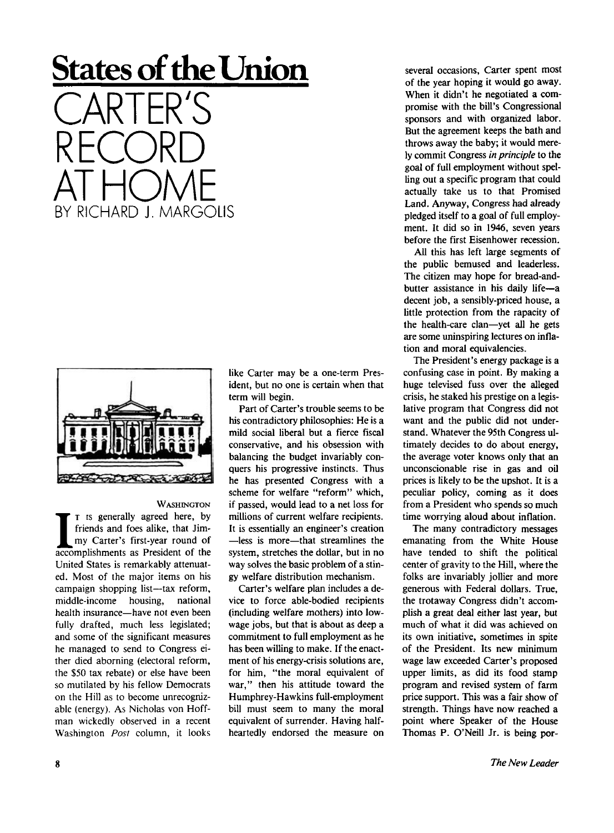## **States of the Union**  CARTER'S RECORD ALHOME



BY RICHARD J. MARGOLIS

**WASHINGTON** 

**I** I is generally agreed here, by friends and foes alike, that Jim-<br>my Carter's first-year round of accomplishments as President of the **T** is generally agreed here, by friends and foes alike, that Jimmy Carter's first-year round of United States is remarkably attenuated. Most of the major items on his campaign shopping list—tax reform, middle-income housing, national health insurance—have not even been fully drafted, much less legislated; and some of the significant measures he managed to send to Congress either died aborning (electoral reform, the \$50 tax rebate) or else have been so mutilated by his fellow Democrats on the Hill as to become unrecognizable (energy). As Nicholas von Hoffman wickedly observed in a recent Washington *Post* column, it looks

like Carter may be a one-term President, but no one is certain when that term will begin.

Part of Carter's trouble seems to be his contradictory philosophies: He is a mild social liberal but a fierce fiscal conservative, and his obsession with balancing the budget invariably conquers his progressive instincts. Thus he has presented Congress with a scheme for welfare "reform" which, if passed, would lead to a net loss for millions of current welfare recipients. It is essentially an engineer's creation —less is more—that streamlines the system, stretches the dollar, but in no way solves the basic problem of a stingy welfare distribution mechanism.

Carter's welfare plan includes a device to force able-bodied recipients (including welfare mothers) into lowwage jobs, but that is about as deep a commitment to full employment as he has been willing to make. If the enactment of his energy-crisis solutions are, for him, "the moral equivalent of war," then his attitude toward the Humphrey-Hawkins full-employment bill must seem to many the moral equivalent of surrender. Having halfheartedly endorsed the measure on

several occasions, Carter spent most of the year hoping it would go away. When it didn't he negotiated a compromise with the bill's Congressional sponsors and with organized labor. But the agreement keeps the bath and throws away the baby; it would merely commit Congress *in principle* to the goal of full employment without spelling out a specific program that could actually take us to that Promised Land. Anyway, Congress had already pledged itself to a goal of full employment. It did so in 1946, seven years before the first Eisenhower recession.

All this has left large segments of the public bemused and leaderless. The citizen may hope for bread-andbutter assistance in his daily life—a decent job, a sensibly-priced house, a little protection from the rapacity of the health-care clan—yet all he gets are some uninspiring lectures on inflation and moral equivalencies.

The President's energy package is a confusing case in point. By making a huge televised fuss over the alleged crisis, he staked his prestige on a legislative program that Congress did not want and the public did not understand. Whatever the 95th Congress ultimately decides to do about energy, the average voter knows only that an unconscionable rise in gas and oil prices is likely to be the upshot. It is a peculiar policy, coming as it does from a President who spends so much time worrying aloud about inflation.

The many contradictory messages emanating from the White House have tended to shift the political center of gravity to the Hill, where the folks are invariably jollier and more generous with Federal dollars. True, the trotaway Congress didn't accomplish a great deal either last year, but much of what it did was achieved on its own initiative, sometimes in spite of the President. Its new minimum wage law exceeded Carter's proposed upper limits, as did its food stamp program and revised system of farm price support. This was a fair show of strength. Things have now reached a point where Speaker of the House Thomas P. O'Neill Jr. is being por